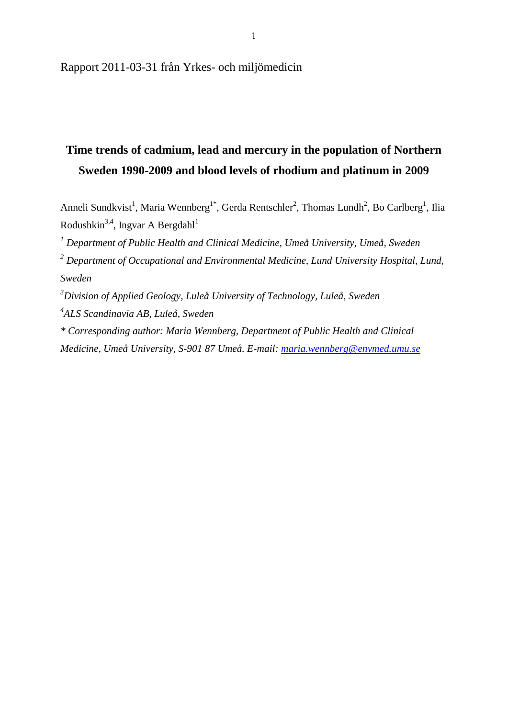Rapport 2011-03-31 från Yrkes- och miljömedicin

# **Time trends of cadmium, lead and mercury in the population of Northern Sweden 1990-2009 and blood levels of rhodium and platinum in 2009**

Anneli Sundkvist<sup>1</sup>, Maria Wennberg<sup>1\*</sup>, Gerda Rentschler<sup>2</sup>, Thomas Lundh<sup>2</sup>, Bo Carlberg<sup>1</sup>, Ilia Rodushkin<sup>3,4</sup>, Ingvar A Bergdahl<sup>1</sup>

*<sup>1</sup> Department of Public Health and Clinical Medicine, Umeå University, Umeå, Sweden*

*<sup>2</sup> Department of Occupational and Environmental Medicine, Lund University Hospital, Lund, Sweden*

*<sup>3</sup>Division of Applied Geology, Luleå University of Technology, Luleå, Sweden*

*4 ALS Scandinavia AB, Luleå, Sweden*

*\* Corresponding author: Maria Wennberg, Department of Public Health and Clinical Medicine, Umeå University, S-901 87 Umeå. E-mail: [maria.wennberg@envmed.umu.se](mailto:maria.wennberg@envmed.umu.se)*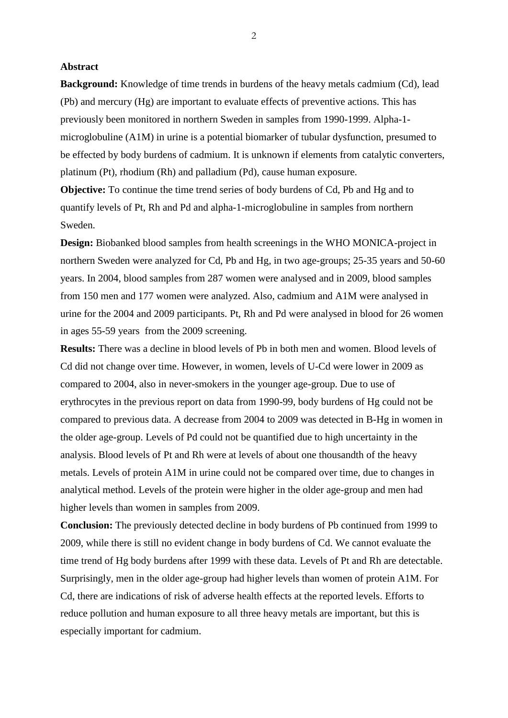#### **Abstract**

**Background:** Knowledge of time trends in burdens of the heavy metals cadmium (Cd), lead (Pb) and mercury (Hg) are important to evaluate effects of preventive actions. This has previously been monitored in northern Sweden in samples from 1990-1999. Alpha-1 microglobuline (A1M) in urine is a potential biomarker of tubular dysfunction, presumed to be effected by body burdens of cadmium. It is unknown if elements from catalytic converters, platinum (Pt), rhodium (Rh) and palladium (Pd), cause human exposure.

**Objective:** To continue the time trend series of body burdens of Cd, Pb and Hg and to quantify levels of Pt, Rh and Pd and alpha-1-microglobuline in samples from northern Sweden.

**Design:** Biobanked blood samples from health screenings in the WHO MONICA-project in northern Sweden were analyzed for Cd, Pb and Hg, in two age-groups; 25-35 years and 50-60 years. In 2004, blood samples from 287 women were analysed and in 2009, blood samples from 150 men and 177 women were analyzed. Also, cadmium and A1M were analysed in urine for the 2004 and 2009 participants. Pt, Rh and Pd were analysed in blood for 26 women in ages 55-59 years from the 2009 screening.

**Results:** There was a decline in blood levels of Pb in both men and women. Blood levels of Cd did not change over time. However, in women, levels of U-Cd were lower in 2009 as compared to 2004, also in never-smokers in the younger age-group. Due to use of erythrocytes in the previous report on data from 1990-99, body burdens of Hg could not be compared to previous data. A decrease from 2004 to 2009 was detected in B-Hg in women in the older age-group. Levels of Pd could not be quantified due to high uncertainty in the analysis. Blood levels of Pt and Rh were at levels of about one thousandth of the heavy metals. Levels of protein A1M in urine could not be compared over time, due to changes in analytical method. Levels of the protein were higher in the older age-group and men had higher levels than women in samples from 2009.

**Conclusion:** The previously detected decline in body burdens of Pb continued from 1999 to 2009, while there is still no evident change in body burdens of Cd. We cannot evaluate the time trend of Hg body burdens after 1999 with these data. Levels of Pt and Rh are detectable. Surprisingly, men in the older age-group had higher levels than women of protein A1M. For Cd, there are indications of risk of adverse health effects at the reported levels. Efforts to reduce pollution and human exposure to all three heavy metals are important, but this is especially important for cadmium.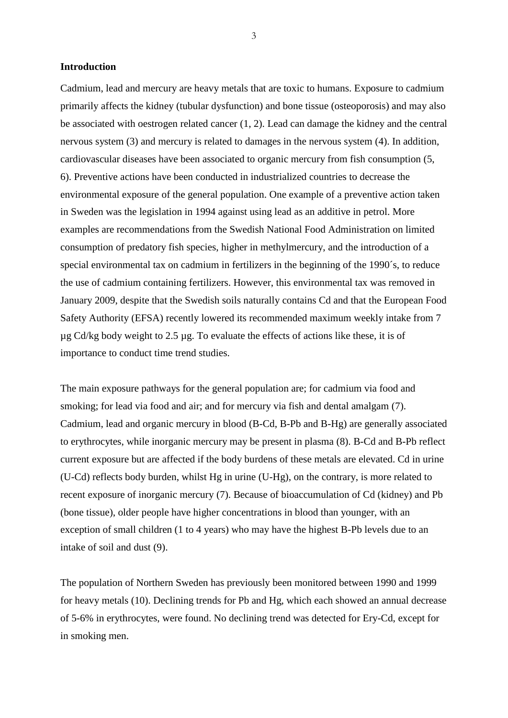#### **Introduction**

Cadmium, lead and mercury are heavy metals that are toxic to humans. Exposure to cadmium primarily affects the kidney (tubular dysfunction) and bone tissue (osteoporosis) and may also be associated with oestrogen related cancer (1, 2). Lead can damage the kidney and the central nervous system (3) and mercury is related to damages in the nervous system (4). In addition, cardiovascular diseases have been associated to organic mercury from fish consumption (5, 6). Preventive actions have been conducted in industrialized countries to decrease the environmental exposure of the general population. One example of a preventive action taken in Sweden was the legislation in 1994 against using lead as an additive in petrol. More examples are recommendations from the Swedish National Food Administration on limited consumption of predatory fish species, higher in methylmercury, and the introduction of a special environmental tax on cadmium in fertilizers in the beginning of the 1990´s, to reduce the use of cadmium containing fertilizers. However, this environmental tax was removed in January 2009, despite that the Swedish soils naturally contains Cd and that the European Food Safety Authority (EFSA) recently lowered its recommended maximum weekly intake from 7 µg Cd/kg body weight to 2.5 µg. To evaluate the effects of actions like these, it is of importance to conduct time trend studies.

The main exposure pathways for the general population are; for cadmium via food and smoking; for lead via food and air; and for mercury via fish and dental amalgam (7). Cadmium, lead and organic mercury in blood (B-Cd, B-Pb and B-Hg) are generally associated to erythrocytes, while inorganic mercury may be present in plasma (8). B-Cd and B-Pb reflect current exposure but are affected if the body burdens of these metals are elevated. Cd in urine (U-Cd) reflects body burden, whilst Hg in urine (U-Hg), on the contrary, is more related to recent exposure of inorganic mercury (7). Because of bioaccumulation of Cd (kidney) and Pb (bone tissue), older people have higher concentrations in blood than younger, with an exception of small children (1 to 4 years) who may have the highest B-Pb levels due to an intake of soil and dust (9).

The population of Northern Sweden has previously been monitored between 1990 and 1999 for heavy metals (10). Declining trends for Pb and Hg, which each showed an annual decrease of 5-6% in erythrocytes, were found. No declining trend was detected for Ery-Cd, except for in smoking men.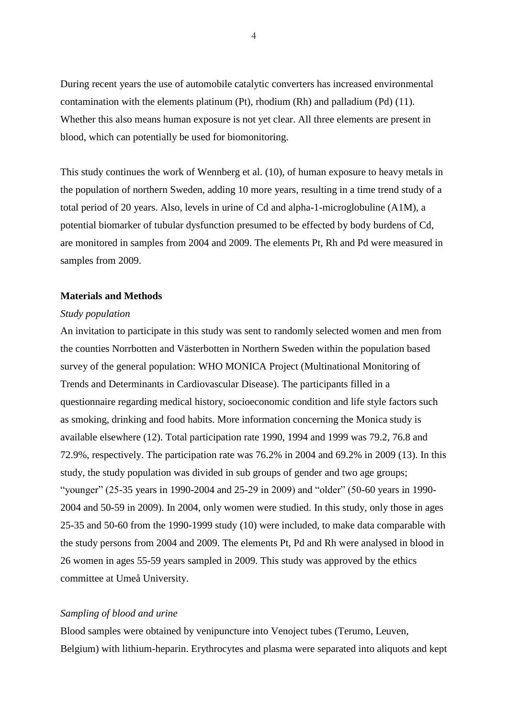During recent years the use of automobile catalytic converters has increased environmental contamination with the elements platinum (Pt), rhodium (Rh) and palladium (Pd) (11). Whether this also means human exposure is not yet clear. All three elements are present in blood, which can potentially be used for biomonitoring.

This study continues the work of Wennberg et al. (10), of human exposure to heavy metals in the population of northern Sweden, adding 10 more years, resulting in a time trend study of a total period of 20 years. Also, levels in urine of Cd and alpha-1-microglobuline (A1M), a potential biomarker of tubular dysfunction presumed to be effected by body burdens of Cd, are monitored in samples from 2004 and 2009. The elements Pt, Rh and Pd were measured in samples from 2009.

#### **Materials and Methods**

#### *Study population*

An invitation to participate in this study was sent to randomly selected women and men from the counties Norrbotten and Västerbotten in Northern Sweden within the population based survey of the general population: WHO MONICA Project (Multinational Monitoring of Trends and Determinants in Cardiovascular Disease). The participants filled in a questionnaire regarding medical history, socioeconomic condition and life style factors such as smoking, drinking and food habits. More information concerning the Monica study is available elsewhere (12). Total participation rate 1990, 1994 and 1999 was 79.2, 76.8 and 72.9%, respectively. The participation rate was 76.2% in 2004 and 69.2% in 2009 (13). In this study, the study population was divided in sub groups of gender and two age groups; "younger" (25-35 years in 1990-2004 and 25-29 in 2009) and "older" (50-60 years in 1990- 2004 and 50-59 in 2009). In 2004, only women were studied. In this study, only those in ages 25-35 and 50-60 from the 1990-1999 study (10) were included, to make data comparable with the study persons from 2004 and 2009. The elements Pt, Pd and Rh were analysed in blood in 26 women in ages 55-59 years sampled in 2009. This study was approved by the ethics committee at Umeå University.

#### *Sampling of blood and urine*

Blood samples were obtained by venipuncture into Venoject tubes (Terumo, Leuven, Belgium) with lithium-heparin. Erythrocytes and plasma were separated into aliquots and kept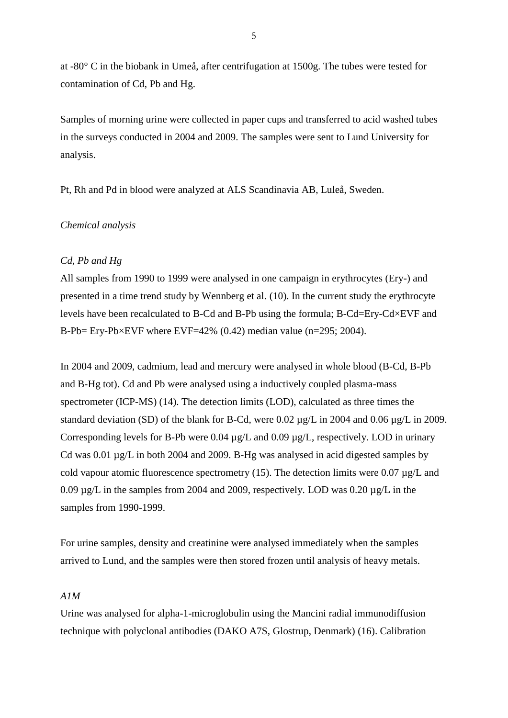at -80° C in the biobank in Umeå, after centrifugation at 1500g. The tubes were tested for contamination of Cd, Pb and Hg.

Samples of morning urine were collected in paper cups and transferred to acid washed tubes in the surveys conducted in 2004 and 2009. The samples were sent to Lund University for analysis.

Pt, Rh and Pd in blood were analyzed at ALS Scandinavia AB, Luleå, Sweden.

## *Chemical analysis*

### *Cd, Pb and Hg*

All samples from 1990 to 1999 were analysed in one campaign in erythrocytes (Ery-) and presented in a time trend study by Wennberg et al. (10). In the current study the erythrocyte levels have been recalculated to B-Cd and B-Pb using the formula; B-Cd=Ery-Cd×EVF and B-Pb= Ery-Pb $\times$ EVF where EVF=42% (0.42) median value (n=295; 2004).

In 2004 and 2009, cadmium, lead and mercury were analysed in whole blood (B-Cd, B-Pb and B-Hg tot). Cd and Pb were analysed using a inductively coupled plasma-mass spectrometer (ICP-MS) (14). The detection limits (LOD), calculated as three times the standard deviation (SD) of the blank for B-Cd, were 0.02 µg/L in 2004 and 0.06 µg/L in 2009. Corresponding levels for B-Pb were 0.04 µg/L and 0.09 µg/L, respectively. LOD in urinary Cd was 0.01 µg/L in both 2004 and 2009. B-Hg was analysed in acid digested samples by cold vapour atomic fluorescence spectrometry (15). The detection limits were 0.07  $\mu$ g/L and 0.09 µg/L in the samples from 2004 and 2009, respectively. LOD was 0.20 µg/L in the samples from 1990-1999.

For urine samples, density and creatinine were analysed immediately when the samples arrived to Lund, and the samples were then stored frozen until analysis of heavy metals.

## *A1M*

Urine was analysed for alpha-1-microglobulin using the Mancini radial immunodiffusion technique with polyclonal antibodies (DAKO A7S, Glostrup, Denmark) (16). Calibration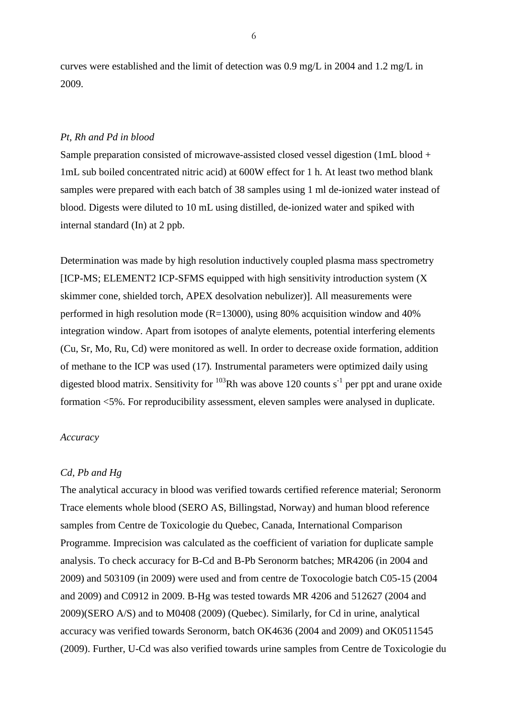curves were established and the limit of detection was 0.9 mg/L in 2004 and 1.2 mg/L in 2009.

#### *Pt, Rh and Pd in blood*

Sample preparation consisted of microwave-assisted closed vessel digestion (1mL blood + 1mL sub boiled concentrated nitric acid) at 600W effect for 1 h. At least two method blank samples were prepared with each batch of 38 samples using 1 ml de-ionized water instead of blood. Digests were diluted to 10 mL using distilled, de-ionized water and spiked with internal standard (In) at 2 ppb.

Determination was made by high resolution inductively coupled plasma mass spectrometry [ICP-MS; ELEMENT2 ICP-SFMS equipped with high sensitivity introduction system (X skimmer cone, shielded torch, APEX desolvation nebulizer)]. All measurements were performed in high resolution mode  $(R=13000)$ , using 80% acquisition window and 40% integration window. Apart from isotopes of analyte elements, potential interfering elements (Cu, Sr, Mo, Ru, Cd) were monitored as well. In order to decrease oxide formation, addition of methane to the ICP was used (17)*.* Instrumental parameters were optimized daily using digested blood matrix. Sensitivity for  $10^3$ Rh was above 120 counts s<sup>-1</sup> per ppt and urane oxide formation <5%. For reproducibility assessment, eleven samples were analysed in duplicate.

#### *Accuracy*

#### *Cd, Pb and Hg*

The analytical accuracy in blood was verified towards certified reference material; Seronorm Trace elements whole blood (SERO AS, Billingstad, Norway) and human blood reference samples from Centre de Toxicologie du Quebec, Canada, International Comparison Programme. Imprecision was calculated as the coefficient of variation for duplicate sample analysis. To check accuracy for B-Cd and B-Pb Seronorm batches; MR4206 (in 2004 and 2009) and 503109 (in 2009) were used and from centre de Toxocologie batch C05-15 (2004 and 2009) and C0912 in 2009. B-Hg was tested towards MR 4206 and 512627 (2004 and 2009)(SERO A/S) and to M0408 (2009) (Quebec). Similarly, for Cd in urine, analytical accuracy was verified towards Seronorm, batch OK4636 (2004 and 2009) and OK0511545 (2009). Further, U-Cd was also verified towards urine samples from Centre de Toxicologie du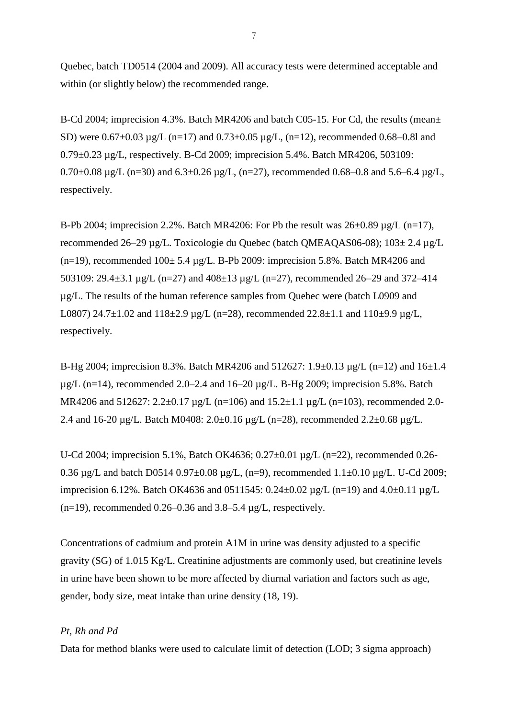Quebec, batch TD0514 (2004 and 2009). All accuracy tests were determined acceptable and within (or slightly below) the recommended range.

B-Cd 2004; imprecision 4.3%. Batch MR4206 and batch C05-15. For Cd, the results (mean± SD) were  $0.67 \pm 0.03$  µg/L (n=17) and  $0.73 \pm 0.05$  µg/L, (n=12), recommended 0.68–0.8l and 0.79±0.23 µg/L, respectively. B-Cd 2009; imprecision 5.4%. Batch MR4206, 503109: 0.70 $\pm$ 0.08 µg/L (n=30) and 6.3 $\pm$ 0.26 µg/L, (n=27), recommended 0.68–0.8 and 5.6–6.4 µg/L, respectively.

B-Pb 2004; imprecision 2.2%. Batch MR4206: For Pb the result was  $26\pm0.89$  µg/L (n=17), recommended 26–29 µg/L. Toxicologie du Quebec (batch QMEAQAS06-08); 103± 2.4 µg/L  $(n=19)$ , recommended  $100 \pm 5.4$  ug/L. B-Pb 2009: imprecision 5.8%. Batch MR4206 and 503109: 29.4±3.1 µg/L (n=27) and 408±13 µg/L (n=27), recommended 26–29 and 372–414 µg/L. The results of the human reference samples from Quebec were (batch L0909 and L0807) 24.7 $\pm$ 1.02 and 118 $\pm$ 2.9 µg/L (n=28), recommended 22.8 $\pm$ 1.1 and 110 $\pm$ 9.9 µg/L, respectively.

B-Hg 2004; imprecision 8.3%. Batch MR4206 and 512627: 1.9±0.13 µg/L (n=12) and 16±1.4  $\mu$ g/L (n=14), recommended 2.0–2.4 and 16–20  $\mu$ g/L. B-Hg 2009; imprecision 5.8%. Batch MR4206 and 512627: 2.2 $\pm$ 0.17 µg/L (n=106) and 15.2 $\pm$ 1.1 µg/L (n=103), recommended 2.0-2.4 and 16-20 µg/L. Batch M0408: 2.0±0.16 µg/L (n=28), recommended 2.2±0.68 µg/L.

U-Cd 2004; imprecision 5.1%, Batch OK4636;  $0.27 \pm 0.01$  µg/L (n=22), recommended 0.26-0.36 µg/L and batch D0514 0.97±0.08 µg/L, (n=9), recommended 1.1±0.10 µg/L. U-Cd 2009; imprecision 6.12%. Batch OK4636 and 0511545:  $0.24 \pm 0.02$  µg/L (n=19) and  $4.0 \pm 0.11$  µg/L  $(n=19)$ , recommended 0.26–0.36 and 3.8–5.4  $\mu$ g/L, respectively.

Concentrations of cadmium and protein A1M in urine was density adjusted to a specific gravity (SG) of 1.015 Kg/L. Creatinine adjustments are commonly used, but creatinine levels in urine have been shown to be more affected by diurnal variation and factors such as age, gender, body size, meat intake than urine density (18, 19).

## *Pt, Rh and Pd*

Data for method blanks were used to calculate limit of detection (LOD; 3 sigma approach)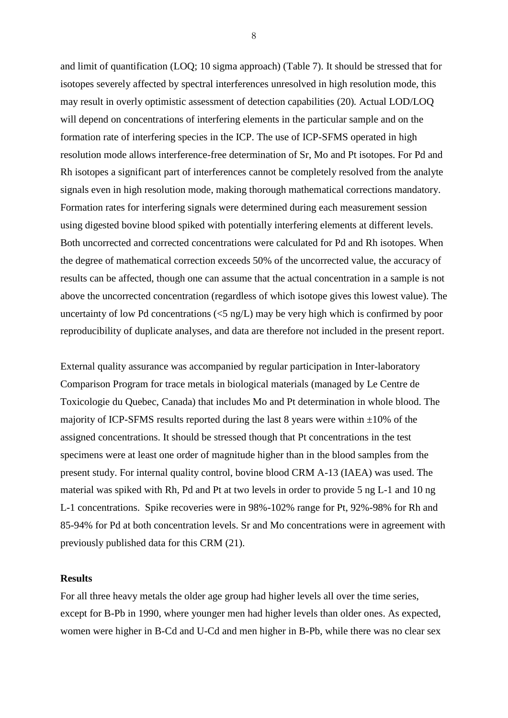and limit of quantification (LOQ; 10 sigma approach) (Table 7). It should be stressed that for isotopes severely affected by spectral interferences unresolved in high resolution mode, this may result in overly optimistic assessment of detection capabilities (20)*.* Actual LOD/LOQ will depend on concentrations of interfering elements in the particular sample and on the formation rate of interfering species in the ICP. The use of ICP-SFMS operated in high resolution mode allows interference-free determination of Sr, Mo and Pt isotopes. For Pd and Rh isotopes a significant part of interferences cannot be completely resolved from the analyte signals even in high resolution mode, making thorough mathematical corrections mandatory. Formation rates for interfering signals were determined during each measurement session using digested bovine blood spiked with potentially interfering elements at different levels. Both uncorrected and corrected concentrations were calculated for Pd and Rh isotopes. When the degree of mathematical correction exceeds 50% of the uncorrected value, the accuracy of results can be affected, though one can assume that the actual concentration in a sample is not above the uncorrected concentration (regardless of which isotope gives this lowest value). The uncertainty of low Pd concentrations  $\langle 5 \text{ ng/L} \rangle$  may be very high which is confirmed by poor reproducibility of duplicate analyses, and data are therefore not included in the present report.

External quality assurance was accompanied by regular participation in Inter-laboratory Comparison Program for trace metals in biological materials (managed by Le Centre de Toxicologie du Quebec, Canada) that includes Mo and Pt determination in whole blood. The majority of ICP-SFMS results reported during the last 8 years were within  $\pm 10\%$  of the assigned concentrations. It should be stressed though that Pt concentrations in the test specimens were at least one order of magnitude higher than in the blood samples from the present study. For internal quality control, bovine blood CRM A-13 (IAEA) was used. The material was spiked with Rh, Pd and Pt at two levels in order to provide 5 ng L-1 and 10 ng L-1 concentrations. Spike recoveries were in 98%-102% range for Pt, 92%-98% for Rh and 85-94% for Pd at both concentration levels. Sr and Mo concentrations were in agreement with previously published data for this CRM (21).

## **Results**

For all three heavy metals the older age group had higher levels all over the time series, except for B-Pb in 1990, where younger men had higher levels than older ones. As expected, women were higher in B-Cd and U-Cd and men higher in B-Pb, while there was no clear sex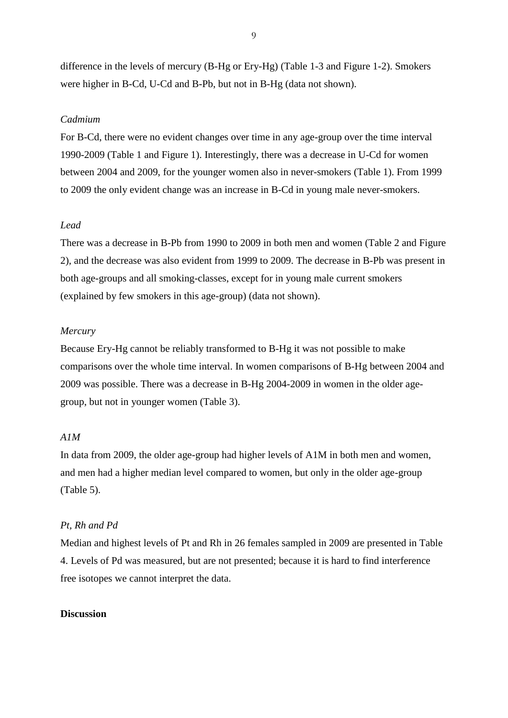difference in the levels of mercury (B-Hg or Ery-Hg) (Table 1-3 and Figure 1-2). Smokers were higher in B-Cd, U-Cd and B-Pb, but not in B-Hg (data not shown).

## *Cadmium*

For B-Cd, there were no evident changes over time in any age-group over the time interval 1990-2009 (Table 1 and Figure 1). Interestingly, there was a decrease in U-Cd for women between 2004 and 2009, for the younger women also in never-smokers (Table 1). From 1999 to 2009 the only evident change was an increase in B-Cd in young male never-smokers.

# *Lead*

There was a decrease in B-Pb from 1990 to 2009 in both men and women (Table 2 and Figure 2), and the decrease was also evident from 1999 to 2009. The decrease in B-Pb was present in both age-groups and all smoking-classes, except for in young male current smokers (explained by few smokers in this age-group) (data not shown).

#### *Mercury*

Because Ery-Hg cannot be reliably transformed to B-Hg it was not possible to make comparisons over the whole time interval. In women comparisons of B-Hg between 2004 and 2009 was possible. There was a decrease in B-Hg 2004-2009 in women in the older agegroup, but not in younger women (Table 3).

# *A1M*

In data from 2009, the older age-group had higher levels of A1M in both men and women, and men had a higher median level compared to women, but only in the older age-group (Table 5).

# *Pt, Rh and Pd*

Median and highest levels of Pt and Rh in 26 females sampled in 2009 are presented in Table 4. Levels of Pd was measured, but are not presented; because it is hard to find interference free isotopes we cannot interpret the data.

# **Discussion**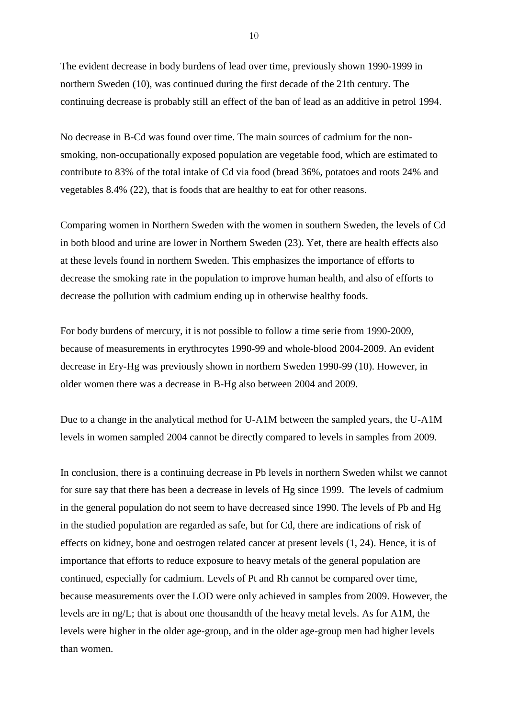The evident decrease in body burdens of lead over time, previously shown 1990-1999 in northern Sweden (10), was continued during the first decade of the 21th century. The continuing decrease is probably still an effect of the ban of lead as an additive in petrol 1994.

No decrease in B-Cd was found over time. The main sources of cadmium for the nonsmoking, non-occupationally exposed population are vegetable food, which are estimated to contribute to 83% of the total intake of Cd via food (bread 36%, potatoes and roots 24% and vegetables 8.4% (22), that is foods that are healthy to eat for other reasons.

Comparing women in Northern Sweden with the women in southern Sweden, the levels of Cd in both blood and urine are lower in Northern Sweden (23). Yet, there are health effects also at these levels found in northern Sweden. This emphasizes the importance of efforts to decrease the smoking rate in the population to improve human health, and also of efforts to decrease the pollution with cadmium ending up in otherwise healthy foods.

For body burdens of mercury, it is not possible to follow a time serie from 1990-2009, because of measurements in erythrocytes 1990-99 and whole-blood 2004-2009. An evident decrease in Ery-Hg was previously shown in northern Sweden 1990-99 (10). However, in older women there was a decrease in B-Hg also between 2004 and 2009.

Due to a change in the analytical method for U-A1M between the sampled years, the U-A1M levels in women sampled 2004 cannot be directly compared to levels in samples from 2009.

In conclusion, there is a continuing decrease in Pb levels in northern Sweden whilst we cannot for sure say that there has been a decrease in levels of Hg since 1999. The levels of cadmium in the general population do not seem to have decreased since 1990. The levels of Pb and Hg in the studied population are regarded as safe, but for Cd, there are indications of risk of effects on kidney, bone and oestrogen related cancer at present levels (1, 24). Hence, it is of importance that efforts to reduce exposure to heavy metals of the general population are continued, especially for cadmium. Levels of Pt and Rh cannot be compared over time, because measurements over the LOD were only achieved in samples from 2009. However, the levels are in ng/L; that is about one thousandth of the heavy metal levels. As for A1M, the levels were higher in the older age-group, and in the older age-group men had higher levels than women.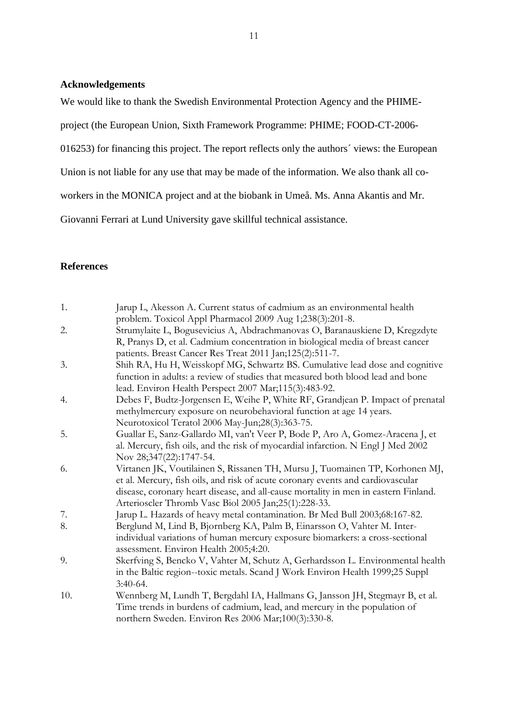# **Acknowledgements**

We would like to thank the Swedish Environmental Protection Agency and the PHIME-

project (the European Union, Sixth Framework Programme: PHIME; FOOD-CT-2006-

016253) for financing this project. The report reflects only the authors´ views: the European

Union is not liable for any use that may be made of the information. We also thank all co-

workers in the MONICA project and at the biobank in Umeå. Ms. Anna Akantis and Mr.

Giovanni Ferrari at Lund University gave skillful technical assistance.

# **References**

| 1.  | Jarup L, Akesson A. Current status of cadmium as an environmental health            |
|-----|-------------------------------------------------------------------------------------|
|     | problem. Toxicol Appl Pharmacol 2009 Aug 1;238(3):201-8.                            |
| 2.  | Strumylaite L, Bogusevicius A, Abdrachmanovas O, Baranauskiene D, Kregzdyte         |
|     | R, Pranys D, et al. Cadmium concentration in biological media of breast cancer      |
|     | patients. Breast Cancer Res Treat 2011 Jan;125(2):511-7.                            |
| 3.  | Shih RA, Hu H, Weisskopf MG, Schwartz BS. Cumulative lead dose and cognitive        |
|     | function in adults: a review of studies that measured both blood lead and bone      |
|     | lead. Environ Health Perspect 2007 Mar;115(3):483-92.                               |
| 4.  | Debes F, Budtz-Jorgensen E, Weihe P, White RF, Grandjean P. Impact of prenatal      |
|     | methylmercury exposure on neurobehavioral function at age 14 years.                 |
|     | Neurotoxicol Teratol 2006 May-Jun;28(3):363-75.                                     |
| 5.  | Guallar E, Sanz-Gallardo MI, van't Veer P, Bode P, Aro A, Gomez-Aracena J, et       |
|     | al. Mercury, fish oils, and the risk of myocardial infarction. N Engl J Med 2002    |
|     | Nov 28;347(22):1747-54.                                                             |
| 6.  | Virtanen JK, Voutilainen S, Rissanen TH, Mursu J, Tuomainen TP, Korhonen MJ,        |
|     | et al. Mercury, fish oils, and risk of acute coronary events and cardiovascular     |
|     | disease, coronary heart disease, and all-cause mortality in men in eastern Finland. |
|     | Arterioscler Thromb Vasc Biol 2005 Jan;25(1):228-33.                                |
| 7.  | Jarup L. Hazards of heavy metal contamination. Br Med Bull 2003;68:167-82.          |
| 8.  | Berglund M, Lind B, Bjornberg KA, Palm B, Einarsson O, Vahter M. Inter-             |
|     | individual variations of human mercury exposure biomarkers: a cross-sectional       |
|     | assessment. Environ Health 2005;4:20.                                               |
| 9.  | Skerfving S, Bencko V, Vahter M, Schutz A, Gerhardsson L. Environmental health      |
|     | in the Baltic region--toxic metals. Scand J Work Environ Health 1999;25 Suppl       |
|     | $3:40-64.$                                                                          |
| 10. | Wennberg M, Lundh T, Bergdahl IA, Hallmans G, Jansson JH, Stegmayr B, et al.        |
|     | Time trends in burdens of cadmium, lead, and mercury in the population of           |
|     |                                                                                     |
|     | northern Sweden. Environ Res 2006 Mar;100(3):330-8.                                 |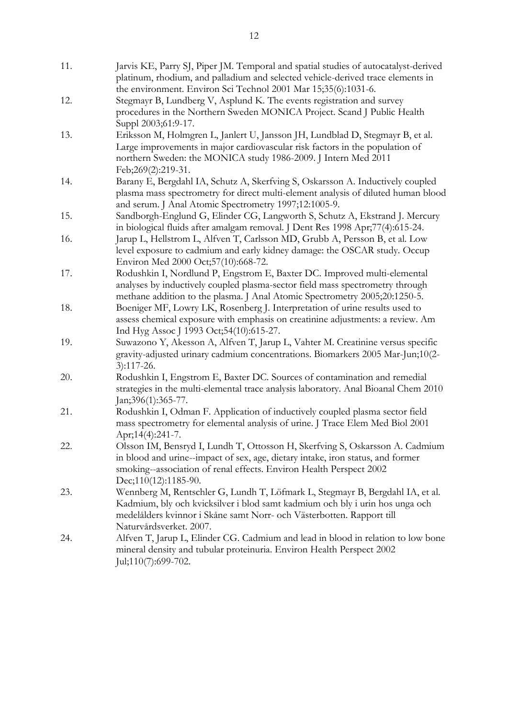| 11. | Jarvis KE, Parry SJ, Piper JM. Temporal and spatial studies of autocatalyst-derived<br>platinum, rhodium, and palladium and selected vehicle-derived trace elements in<br>the environment. Environ Sci Technol 2001 Mar 15;35(6):1031-6.                          |
|-----|-------------------------------------------------------------------------------------------------------------------------------------------------------------------------------------------------------------------------------------------------------------------|
| 12. | Stegmayr B, Lundberg V, Asplund K. The events registration and survey<br>procedures in the Northern Sweden MONICA Project. Scand J Public Health<br>Suppl 2003;61:9-17.                                                                                           |
| 13. | Eriksson M, Holmgren L, Janlert U, Jansson JH, Lundblad D, Stegmayr B, et al.<br>Large improvements in major cardiovascular risk factors in the population of<br>northern Sweden: the MONICA study 1986-2009. J Intern Med 2011<br>Feb;269(2):219-31.             |
| 14. | Barany E, Bergdahl IA, Schutz A, Skerfving S, Oskarsson A. Inductively coupled<br>plasma mass spectrometry for direct multi-element analysis of diluted human blood<br>and serum. J Anal Atomic Spectrometry 1997;12:1005-9.                                      |
| 15. | Sandborgh-Englund G, Elinder CG, Langworth S, Schutz A, Ekstrand J. Mercury<br>in biological fluids after amalgam removal. J Dent Res 1998 Apr;77(4):615-24.                                                                                                      |
| 16. | Jarup L, Hellstrom L, Alfven T, Carlsson MD, Grubb A, Persson B, et al. Low<br>level exposure to cadmium and early kidney damage: the OSCAR study. Occup<br>Environ Med 2000 Oct;57(10):668-72.                                                                   |
| 17. | Rodushkin I, Nordlund P, Engstrom E, Baxter DC. Improved multi-elemental<br>analyses by inductively coupled plasma-sector field mass spectrometry through<br>methane addition to the plasma. J Anal Atomic Spectrometry 2005;20:1250-5.                           |
| 18. | Boeniger MF, Lowry LK, Rosenberg J. Interpretation of urine results used to<br>assess chemical exposure with emphasis on creatinine adjustments: a review. Am<br>Ind Hyg Assoc J 1993 Oct;54(10):615-27.                                                          |
| 19. | Suwazono Y, Akesson A, Alfven T, Jarup L, Vahter M. Creatinine versus specific<br>gravity-adjusted urinary cadmium concentrations. Biomarkers 2005 Mar-Jun;10(2-<br>$3):117-26.$                                                                                  |
| 20. | Rodushkin I, Engstrom E, Baxter DC. Sources of contamination and remedial<br>strategies in the multi-elemental trace analysis laboratory. Anal Bioanal Chem 2010<br>Jan;396(1):365-77.                                                                            |
| 21. | Rodushkin I, Odman F. Application of inductively coupled plasma sector field<br>mass spectrometry for elemental analysis of urine. J Trace Elem Med Biol 2001<br>Apr;14(4):241-7.                                                                                 |
| 22. | Olsson IM, Bensryd I, Lundh T, Ottosson H, Skerfving S, Oskarsson A. Cadmium<br>in blood and urine--impact of sex, age, dietary intake, iron status, and former<br>smoking--association of renal effects. Environ Health Perspect 2002<br>Dec;110(12):1185-90.    |
| 23. | Wennberg M, Rentschler G, Lundh T, Löfmark L, Stegmayr B, Bergdahl IA, et al.<br>Kadmium, bly och kvicksilver i blod samt kadmium och bly i urin hos unga och<br>medelålders kvinnor i Skåne samt Norr- och Västerbotten. Rapport till<br>Naturvårdsverket. 2007. |
| 24. | Alfven T, Jarup L, Elinder CG. Cadmium and lead in blood in relation to low bone<br>mineral density and tubular proteinuria. Environ Health Perspect 2002<br>Jul;110(7):699-702.                                                                                  |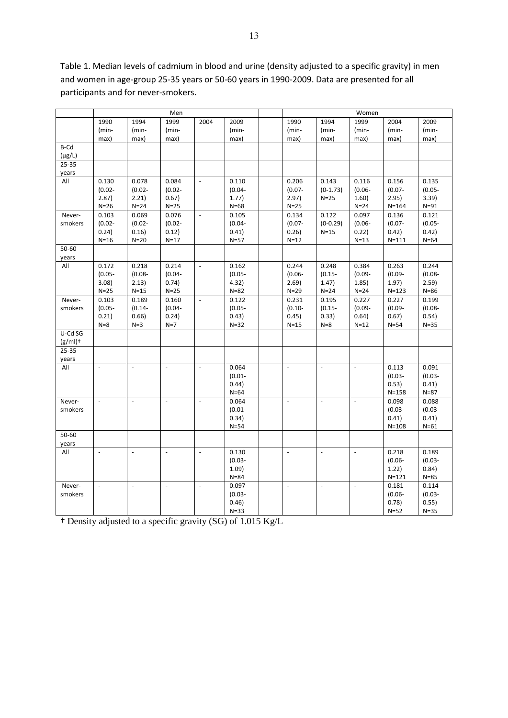Table 1. Median levels of cadmium in blood and urine (density adjusted to a specific gravity) in men and women in age-group 25-35 years or 50-60 years in 1990-2009. Data are presented for all participants and for never-smokers.

|              | Men                 |                          |                 |                          |                 | Women |                          |                          |                          |                    |                 |
|--------------|---------------------|--------------------------|-----------------|--------------------------|-----------------|-------|--------------------------|--------------------------|--------------------------|--------------------|-----------------|
|              | 1990                | 1994                     | 1999            | 2004                     | 2009            |       | 1990                     | 1994                     | 1999                     | 2004               | 2009            |
|              | (min-               | (min-                    | (min-           |                          | (min-           |       | (min-                    | (min-                    | (min-                    | (min-              | (min-           |
|              | max)                | max)                     | max)            |                          | max)            |       | max)                     | max)                     | max)                     | max)               | max)            |
| B-Cd         |                     |                          |                 |                          |                 |       |                          |                          |                          |                    |                 |
| $(\mu g/L)$  |                     |                          |                 |                          |                 |       |                          |                          |                          |                    |                 |
| 25-35        |                     |                          |                 |                          |                 |       |                          |                          |                          |                    |                 |
| years        |                     |                          |                 |                          |                 |       |                          |                          |                          |                    |                 |
| All          | 0.130               | 0.078                    | 0.084           | $\Box$                   | 0.110           |       | 0.206                    | 0.143                    | 0.116                    | 0.156              | 0.135           |
|              | $(0.02 -$           | $(0.02 -$                | $(0.02 -$       |                          | $(0.04 -$       |       | $(0.07 -$                | $(0-1.73)$               | $(0.06 -$                | $(0.07 -$          | $(0.05 -$       |
|              | 2.87)               | 2.21)                    | 0.67)           |                          | 1.77)           |       | 2.97)                    | $N=25$                   | 1.60)                    | 2.95)              | 3.39)           |
| Never-       | $N=26$<br>0.103     | $N=24$<br>0.069          | $N=25$<br>0.076 | $\overline{\phantom{a}}$ | $N=68$<br>0.105 |       | $N=25$<br>0.134          | 0.122                    | $N = 24$<br>0.097        | $N = 164$<br>0.136 | $N=91$<br>0.121 |
| smokers      | $(0.02 -$           | $(0.02 -$                | $(0.02 -$       |                          | $(0.04 -$       |       | $(0.07 -$                | $(0-0.29)$               | $(0.06 -$                | $(0.07 -$          | $(0.05 -$       |
|              | 0.24)               | 0.16)                    | 0.12)           |                          | 0.41)           |       | 0.26)                    | $N=15$                   | 0.22)                    | 0.42)              | 0.42)           |
|              | $N=16$              | $N=20$                   | $N=17$          |                          | $N = 57$        |       | $N=12$                   |                          | $N=13$                   | $N = 111$          | $N=64$          |
| 50-60        |                     |                          |                 |                          |                 |       |                          |                          |                          |                    |                 |
| years        |                     |                          |                 |                          |                 |       |                          |                          |                          |                    |                 |
| All          | 0.172               | 0.218                    | 0.214           | $\Box$                   | 0.162           |       | 0.244                    | 0.248                    | 0.384                    | 0.263              | 0.244           |
|              | $(0.05 -$           | $(0.08 -$                | $(0.04 -$       |                          | $(0.05 -$       |       | $(0.06 -$                | $(0.15 -$                | $(0.09 -$                | $(0.09 -$          | $(0.08 -$       |
|              | 3.08                | 2.13)                    | 0.74)           |                          | 4.32)           |       | 2.69)                    | 1.47)                    | 1.85)                    | 1.97)              | 2.59)           |
|              | $N=25$              | $N=15$                   | $N=25$          |                          | $N = 82$        |       | $N=29$                   | $N=24$                   | $N = 24$                 | $N = 123$          | $N = 86$        |
| Never-       | 0.103               | 0.189                    | 0.160           | $\Box$                   | 0.122           |       | 0.231                    | 0.195                    | 0.227                    | 0.227              | 0.199           |
| smokers      | $(0.05 -$           | $(0.14 -$                | $(0.04 -$       |                          | $(0.05 -$       |       | $(0.10 -$                | $(0.15 -$                | $(0.09 -$                | $(0.09 -$          | $(0.08 -$       |
|              | 0.21)               | 0.66)                    | 0.24)           |                          | 0.43)           |       | 0.45)                    | 0.33)                    | 0.64)                    | 0.67)              | 0.54)           |
|              | $N=8$               | $N=3$                    | $N=7$           |                          | $N=32$          |       | $N=15$                   | $N=8$                    | $N=12$                   | $N = 54$           | $N=35$          |
| U-Cd SG      |                     |                          |                 |                          |                 |       |                          |                          |                          |                    |                 |
| $(g/ml)$ +   |                     |                          |                 |                          |                 |       |                          |                          |                          |                    |                 |
| $25 - 35$    |                     |                          |                 |                          |                 |       |                          |                          |                          |                    |                 |
| years<br>All | $\bar{\phantom{a}}$ | $\overline{a}$           | $\overline{a}$  | $\overline{\phantom{a}}$ | 0.064           |       | $\sim$                   | $\mathbb{L}$             | $\overline{\phantom{a}}$ | 0.113              | 0.091           |
|              |                     |                          |                 |                          | $(0.01 -$       |       |                          |                          |                          | $(0.03 -$          | $(0.03 -$       |
|              |                     |                          |                 |                          | 0.44)           |       |                          |                          |                          | 0.53)              | 0.41)           |
|              |                     |                          |                 |                          | $N=64$          |       |                          |                          |                          | $N = 158$          | $N = 87$        |
| Never-       | $\blacksquare$      | $\sim$                   | $\blacksquare$  | $\omega$                 | 0.064           |       | $\overline{\phantom{a}}$ | $\omega$                 | $\overline{\phantom{a}}$ | 0.098              | 0.088           |
| smokers      |                     |                          |                 |                          | $(0.01 -$       |       |                          |                          |                          | $(0.03 -$          | $(0.03 -$       |
|              |                     |                          |                 |                          | 0.34)           |       |                          |                          |                          | 0.41)              | 0.41)           |
|              |                     |                          |                 |                          | $N = 54$        |       |                          |                          |                          | $N = 108$          | $N=61$          |
| 50-60        |                     |                          |                 |                          |                 |       |                          |                          |                          |                    |                 |
| years        |                     |                          |                 |                          |                 |       |                          |                          |                          |                    |                 |
| All          | $\blacksquare$      | $\overline{\phantom{a}}$ | $\blacksquare$  | $\Box$                   | 0.130           |       | $\blacksquare$           | $\blacksquare$           | $\Box$                   | 0.218              | 0.189           |
|              |                     |                          |                 |                          | $(0.03 -$       |       |                          |                          |                          | $(0.06 -$          | $(0.03 -$       |
|              |                     |                          |                 |                          | 1.09)           |       |                          |                          |                          | 1.22)              | 0.84)           |
|              |                     |                          |                 |                          | $N = 84$        |       |                          |                          |                          | $N = 121$          | $N = 85$        |
| Never-       | $\omega$            | $\sim$                   | $\blacksquare$  | $\overline{\phantom{a}}$ | 0.097           |       | $\omega$                 | $\overline{\phantom{a}}$ | $\overline{\phantom{a}}$ | 0.181              | 0.114           |
| smokers      |                     |                          |                 |                          | $(0.03 -$       |       |                          |                          |                          | $(0.06 -$          | $(0.03 -$       |
|              |                     |                          |                 |                          | 0.46)           |       |                          |                          |                          | 0.78)              | 0.55)           |
|              |                     |                          |                 |                          | $N = 33$        |       |                          |                          |                          | $N=52$             | $N=35$          |

† Density adjusted to a specific gravity (SG) of 1.015 Kg/L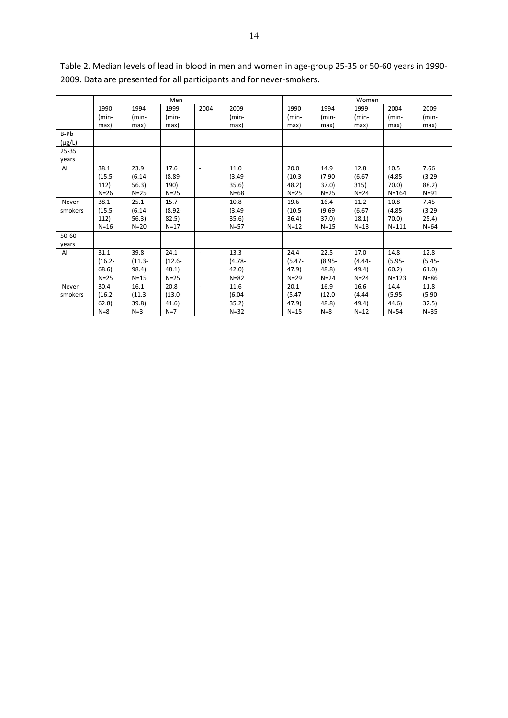|             | Men       |           |           |                          |           | Women     |           |           |           |           |
|-------------|-----------|-----------|-----------|--------------------------|-----------|-----------|-----------|-----------|-----------|-----------|
|             | 1990      | 1994      | 1999      | 2004                     | 2009      | 1990      | 1994      | 1999      | 2004      | 2009      |
|             | $(min-$   | (min-     | (min-     |                          | $(min-$   | $(min-$   | (min-     | $(min-$   | $(min-$   | (min-     |
|             | max)      | max)      | max)      |                          | max)      | max)      | max)      | max)      | max)      | max)      |
| B-Pb        |           |           |           |                          |           |           |           |           |           |           |
| $(\mu g/L)$ |           |           |           |                          |           |           |           |           |           |           |
| $25 - 35$   |           |           |           |                          |           |           |           |           |           |           |
| years       |           |           |           |                          |           |           |           |           |           |           |
| All         | 38.1      | 23.9      | 17.6      | $\overline{\phantom{a}}$ | 11.0      | 20.0      | 14.9      | 12.8      | 10.5      | 7.66      |
|             | $(15.5 -$ | $(6.14 -$ | $(8.89 -$ |                          | $(3.49 -$ | $(10.3 -$ | $(7.90 -$ | $(6.67 -$ | $(4.85 -$ | $(3.29 -$ |
|             | 112)      | 56.3)     | 190)      |                          | 35.6)     | 48.2)     | 37.0      | 315)      | 70.0)     | 88.2)     |
|             | $N=26$    | $N=25$    | $N=25$    |                          | $N = 68$  | $N=25$    | $N=25$    | $N=24$    | $N = 164$ | $N=91$    |
| Never-      | 38.1      | 25.1      | 15.7      | $\blacksquare$           | 10.8      | 19.6      | 16.4      | 11.2      | 10.8      | 7.45      |
| smokers     | $(15.5 -$ | $(6.14 -$ | $(8.92 -$ |                          | $(3.49 -$ | $(10.5 -$ | $(9.69 -$ | $(6.67 -$ | $(4.85 -$ | $(3.29 -$ |
|             | 112)      | 56.3)     | 82.5)     |                          | 35.6)     | 36.4)     | 37.0)     | 18.1)     | 70.0      | 25.4)     |
|             | $N=16$    | $N=20$    | $N=17$    |                          | $N=57$    | $N=12$    | $N=15$    | $N=13$    | $N = 111$ | $N=64$    |
| 50-60       |           |           |           |                          |           |           |           |           |           |           |
| years       |           |           |           |                          |           |           |           |           |           |           |
| All         | 31.1      | 39.8      | 24.1      | $\overline{\phantom{a}}$ | 13.3      | 24.4      | 22.5      | 17.0      | 14.8      | 12.8      |
|             | $(16.2 -$ | $(11.3 -$ | $(12.6 -$ |                          | $(4.78 -$ | $(5.47 -$ | $(8.95 -$ | $(4.44 -$ | $(5.95 -$ | $(5.45 -$ |
|             | 68.6)     | 98.4)     | 48.1)     |                          | 42.0)     | 47.9)     | 48.8)     | 49.4)     | 60.2      | 61.0      |
|             | $N=25$    | $N=15$    | $N=25$    |                          | $N = 82$  | $N=29$    | $N=24$    | $N=24$    | $N = 123$ | $N=86$    |
| Never-      | 30.4      | 16.1      | 20.8      |                          | 11.6      | 20.1      | 16.9      | 16.6      | 14.4      | 11.8      |
| smokers     | $(16.2 -$ | $(11.3 -$ | $(13.0 -$ |                          | $(6.04 -$ | $(5.47 -$ | $(12.0 -$ | $(4.44 -$ | $(5.95 -$ | $(5.90 -$ |
|             | 62.8)     | 39.8)     | 41.6)     |                          | 35.2)     | 47.9)     | 48.8)     | 49.4)     | 44.6)     | 32.5)     |
|             | $N = 8$   | $N=3$     | $N=7$     |                          | $N=32$    | $N=15$    | $N=8$     | $N=12$    | $N = 54$  | $N = 35$  |

Table 2. Median levels of lead in blood in men and women in age-group 25-35 or 50-60 years in 1990- 2009. Data are presented for all participants and for never-smokers.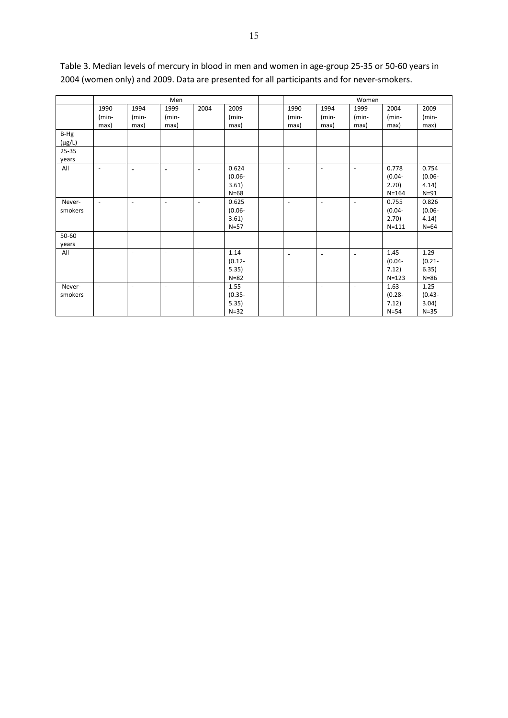|             | Men                      |                          |                          |                          |           |  | Women                        |                          |                              |           |           |
|-------------|--------------------------|--------------------------|--------------------------|--------------------------|-----------|--|------------------------------|--------------------------|------------------------------|-----------|-----------|
|             | 1990                     | 1994                     | 1999                     | 2004                     | 2009      |  | 1990                         | 1994                     | 1999                         | 2004      | 2009      |
|             | $(min-$                  | $(min-$                  | $(min-$                  |                          | $(min-$   |  | $(min-$                      | $(min-$                  | $(min-$                      | $(min-$   | $(min-$   |
|             | max)                     | max)                     | max)                     |                          | max)      |  | max)                         | max)                     | max)                         | max)      | max)      |
| B-Hg        |                          |                          |                          |                          |           |  |                              |                          |                              |           |           |
| $(\mu g/L)$ |                          |                          |                          |                          |           |  |                              |                          |                              |           |           |
| 25-35       |                          |                          |                          |                          |           |  |                              |                          |                              |           |           |
| years       |                          |                          |                          |                          |           |  |                              |                          |                              |           |           |
| All         | $\overline{\phantom{a}}$ | $\overline{\phantom{a}}$ | $\overline{\phantom{a}}$ |                          | 0.624     |  | $\overline{\phantom{a}}$     | $\blacksquare$           | $\overline{\phantom{a}}$     | 0.778     | 0.754     |
|             |                          |                          |                          |                          | $(0.06 -$ |  |                              |                          |                              | $(0.04 -$ | $(0.06 -$ |
|             |                          |                          |                          |                          | 3.61)     |  |                              |                          |                              | 2.70)     | 4.14)     |
|             |                          |                          |                          |                          | $N = 68$  |  |                              |                          |                              | $N = 164$ | $N=91$    |
| Never-      | $\overline{\phantom{a}}$ | $\blacksquare$           | $\overline{\phantom{a}}$ | $\overline{\phantom{a}}$ | 0.625     |  | $\overline{\phantom{a}}$     | $\overline{\phantom{a}}$ | $\overline{\phantom{a}}$     | 0.755     | 0.826     |
| smokers     |                          |                          |                          |                          | $(0.06 -$ |  |                              |                          |                              | $(0.04 -$ | $(0.06 -$ |
|             |                          |                          |                          |                          | 3.61)     |  |                              |                          |                              | 2.70)     | 4.14)     |
|             |                          |                          |                          |                          | $N=57$    |  |                              |                          |                              | $N = 111$ | $N=64$    |
| 50-60       |                          |                          |                          |                          |           |  |                              |                          |                              |           |           |
| years       |                          |                          |                          |                          |           |  |                              |                          |                              |           |           |
| All         | $\overline{\phantom{a}}$ | $\blacksquare$           | $\overline{\phantom{a}}$ | $\overline{\phantom{a}}$ | 1.14      |  | $\qquad \qquad \blacksquare$ | $\overline{\phantom{a}}$ | $\qquad \qquad \blacksquare$ | 1.45      | 1.29      |
|             |                          |                          |                          |                          | $(0.12 -$ |  |                              |                          |                              | $(0.04 -$ | $(0.21 -$ |
|             |                          |                          |                          |                          | 5.35)     |  |                              |                          |                              | 7.12)     | 6.35)     |
|             |                          |                          |                          |                          | $N = 82$  |  |                              |                          |                              | $N = 123$ | $N=86$    |
| Never-      | $\overline{\phantom{a}}$ | $\overline{\phantom{a}}$ | $\sim$                   | $\overline{\phantom{a}}$ | 1.55      |  | $\overline{\phantom{a}}$     | $\overline{\phantom{a}}$ | $\overline{\phantom{a}}$     | 1.63      | 1.25      |
| smokers     |                          |                          |                          |                          | $(0.35 -$ |  |                              |                          |                              | $(0.28 -$ | $(0.43 -$ |
|             |                          |                          |                          |                          | 5.35)     |  |                              |                          |                              | 7.12)     | 3.04)     |
|             |                          |                          |                          |                          | $N = 32$  |  |                              |                          |                              | $N = 54$  | $N=35$    |

# Table 3. Median levels of mercury in blood in men and women in age-group 25-35 or 50-60 years in 2004 (women only) and 2009. Data are presented for all participants and for never-smokers.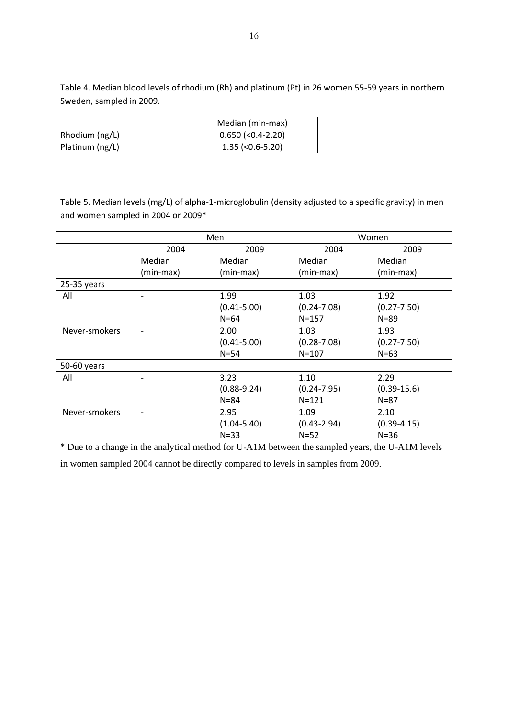Table 4. Median blood levels of rhodium (Rh) and platinum (Pt) in 26 women 55-59 years in northern Sweden, sampled in 2009.

|                 | Median (min-max)    |
|-----------------|---------------------|
| Rhodium (ng/L)  | $0.650$ (<0.4-2.20) |
| Platinum (ng/L) | $1.35$ (<0.6-5.20)  |

Table 5. Median levels (mg/L) of alpha-1-microglobulin (density adjusted to a specific gravity) in men and women sampled in 2004 or 2009\*

|               |                              | Men             | Women           |                 |  |
|---------------|------------------------------|-----------------|-----------------|-----------------|--|
|               | 2004                         | 2009            | 2004            | 2009            |  |
|               | Median                       | Median          | Median          | Median          |  |
|               | (min-max)                    | (min-max)       | (min-max)       | (min-max)       |  |
| $25-35$ years |                              |                 |                 |                 |  |
| All           | $\overline{\phantom{0}}$     | 1.99            | 1.03            | 1.92            |  |
|               |                              | $(0.41 - 5.00)$ | $(0.24 - 7.08)$ | $(0.27 - 7.50)$ |  |
|               |                              | $N=64$          | $N = 157$       | $N = 89$        |  |
| Never-smokers | $\qquad \qquad -$            | 2.00            | 1.03            | 1.93            |  |
|               |                              | $(0.41 - 5.00)$ | $(0.28 - 7.08)$ | $(0.27 - 7.50)$ |  |
|               |                              | $N = 54$        | $N = 107$       | $N=63$          |  |
| 50-60 years   |                              |                 |                 |                 |  |
| All           | $\qquad \qquad$              | 3.23            | 1.10            | 2.29            |  |
|               |                              | $(0.88 - 9.24)$ | $(0.24 - 7.95)$ | $(0.39 - 15.6)$ |  |
|               |                              | $N = 84$        | $N = 121$       | $N = 87$        |  |
| Never-smokers | $\qquad \qquad \blacksquare$ | 2.95            | 1.09            | 2.10            |  |
|               |                              | $(1.04 - 5.40)$ | $(0.43 - 2.94)$ | $(0.39 - 4.15)$ |  |
|               |                              | $N = 33$        | $N=52$          | $N=36$          |  |

\* Due to a change in the analytical method for U-A1M between the sampled years, the U-A1M levels in women sampled 2004 cannot be directly compared to levels in samples from 2009.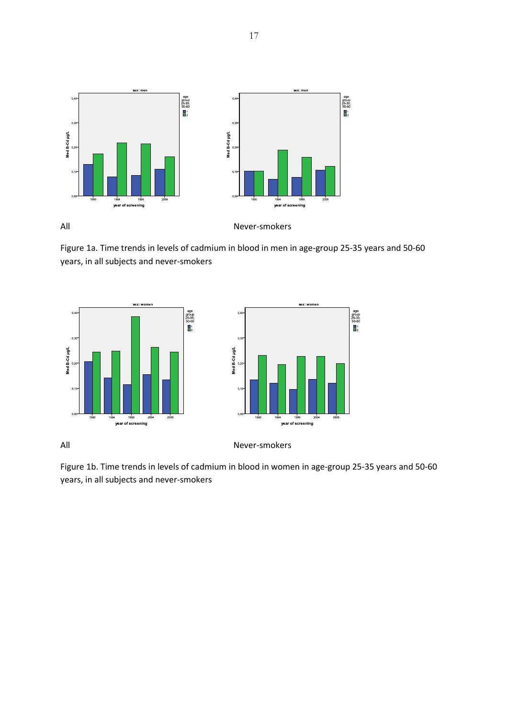

Figure 1a. Time trends in levels of cadmium in blood in men in age-group 25-35 years and 50-60 years, in all subjects and never-smokers



All Never-smokers

Figure 1b. Time trends in levels of cadmium in blood in women in age-group 25-35 years and 50-60 years, in all subjects and never-smokers